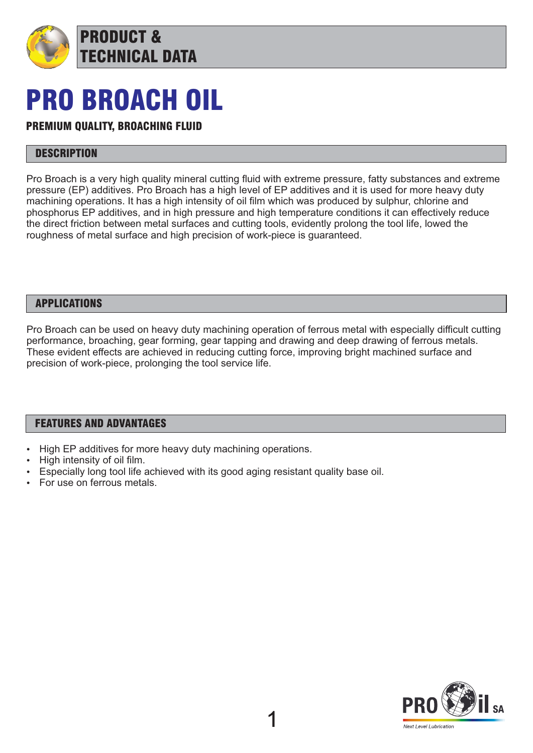

# PRO BROACH OIL

# PREMIUM QUALITY, BROACHING FLUID

### **DESCRIPTION**

Pro Broach is a very high quality mineral cutting fluid with extreme pressure, fatty substances and extreme pressure (EP) additives. Pro Broach has a high level of EP additives and it is used for more heavy duty machining operations. It has a high intensity of oil film which was produced by sulphur, chlorine and phosphorus EP additives, and in high pressure and high temperature conditions it can effectively reduce the direct friction between metal surfaces and cutting tools, evidently prolong the tool life, lowed the roughness of metal surface and high precision of work-piece is guaranteed.

#### APPLICATIONS

Pro Broach can be used on heavy duty machining operation of ferrous metal with especially difficult cutting performance, broaching, gear forming, gear tapping and drawing and deep drawing of ferrous metals. These evident effects are achieved in reducing cutting force, improving bright machined surface and precision of work-piece, prolonging the tool service life.

#### FEATURES AND ADVANTAGES

- High EP additives for more heavy duty machining operations.
- High intensity of oil film.
- Especially long tool life achieved with its good aging resistant quality base oil.
- For use on ferrous metals.